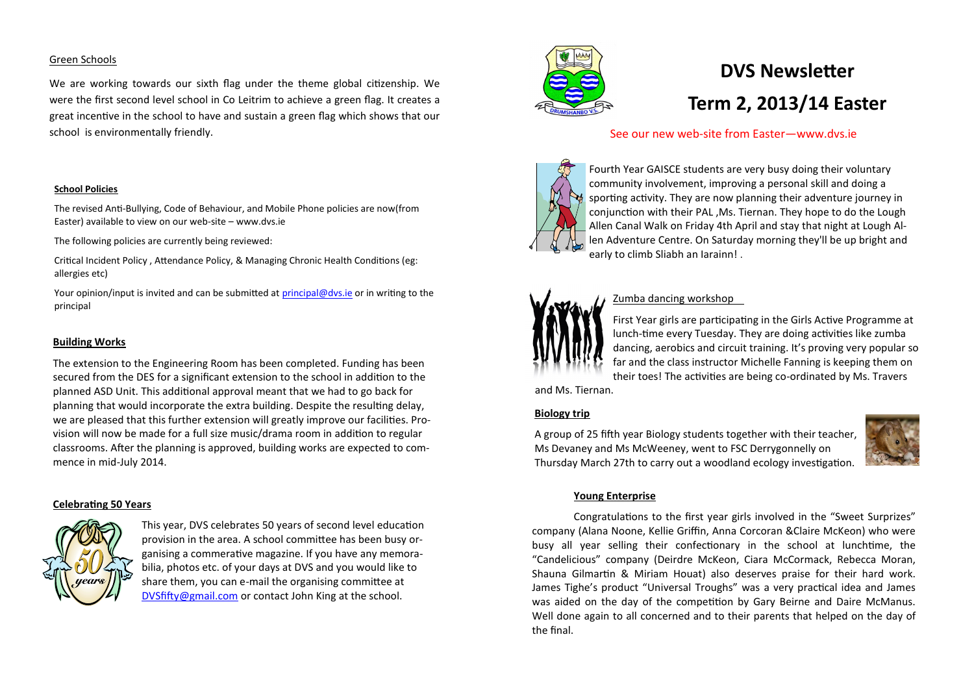#### Green Schools

We are working towards our sixth flag under the theme global citizenship. We were the first second level school in Co Leitrim to achieve a green flag. It creates a great incentive in the school to have and sustain a green flag which shows that our school is environmentally friendly.

#### **School Policies**

The revised Anti-Bullying, Code of Behaviour, and Mobile Phone policies are now(from Easter) available to view on our web-site – www.dvs.ie

The following policies are currently being reviewed:

Critical Incident Policy , Attendance Policy, & Managing Chronic Health Conditions (eg: allergies etc)

Your opinion/input is invited and can be submitted at [principal@dvs.ie](mailto:principal@dvs.ie) or in writing to the principal

#### **Building Works**

The extension to the Engineering Room has been completed. Funding has been secured from the DES for a significant extension to the school in addition to the planned ASD Unit. This additional approval meant that we had to go back for planning that would incorporate the extra building. Despite the resulting delay, we are pleased that this further extension will greatly improve our facilities. Provision will now be made for a full size music/drama room in addition to regular classrooms. After the planning is approved, building works are expected to commence in mid-July 2014.

#### **Celebrating 50 Years**



This year, DVS celebrates 50 years of second level education provision in the area. A school committee has been busy organising a commerative magazine. If you have any memorabilia, photos etc. of your days at DVS and you would like to share them, you can e-mail the organising committee at [DVSfifty@gmail.com](mailto:DVSfifty@gmail.com) or contact John King at the school.



# **DVS Newsletter Term 2, 2013/14 Easter**

# See our new web-site from Easter—www.dvs.ie



Fourth Year GAISCE students are very busy doing their voluntary community involvement, improving a personal skill and doing a sporting activity. They are now planning their adventure journey in conjunction with their PAL ,Ms. Tiernan. They hope to do the Lough Allen Canal Walk on Friday 4th April and stay that night at Lough Allen Adventure Centre. On Saturday morning they'll be up bright and early to climb Sliabh an Iarainn! .



# Zumba dancing workshop

First Year girls are participating in the Girls Active Programme at lunch-time every Tuesday. They are doing activities like zumba dancing, aerobics and circuit training. It's proving very popular so far and the class instructor Michelle Fanning is keeping them on their toes! The activities are being co-ordinated by Ms. Travers

and Ms. Tiernan.

# **Biology trip**

A group of 25 fifth year Biology students together with their teacher, Ms Devaney and Ms McWeeney, went to FSC Derrygonnelly on Thursday March 27th to carry out a woodland ecology investigation.



#### **Young Enterprise**

Congratulations to the first year girls involved in the "Sweet Surprizes" company (Alana Noone, Kellie Griffin, Anna Corcoran &Claire McKeon) who were busy all year selling their confectionary in the school at lunchtime, the "Candelicious" company (Deirdre McKeon, Ciara McCormack, Rebecca Moran, Shauna Gilmartin & Miriam Houat) also deserves praise for their hard work. James Tighe's product "Universal Troughs" was a very practical idea and James was aided on the day of the competition by Gary Beirne and Daire McManus. Well done again to all concerned and to their parents that helped on the day of the final.